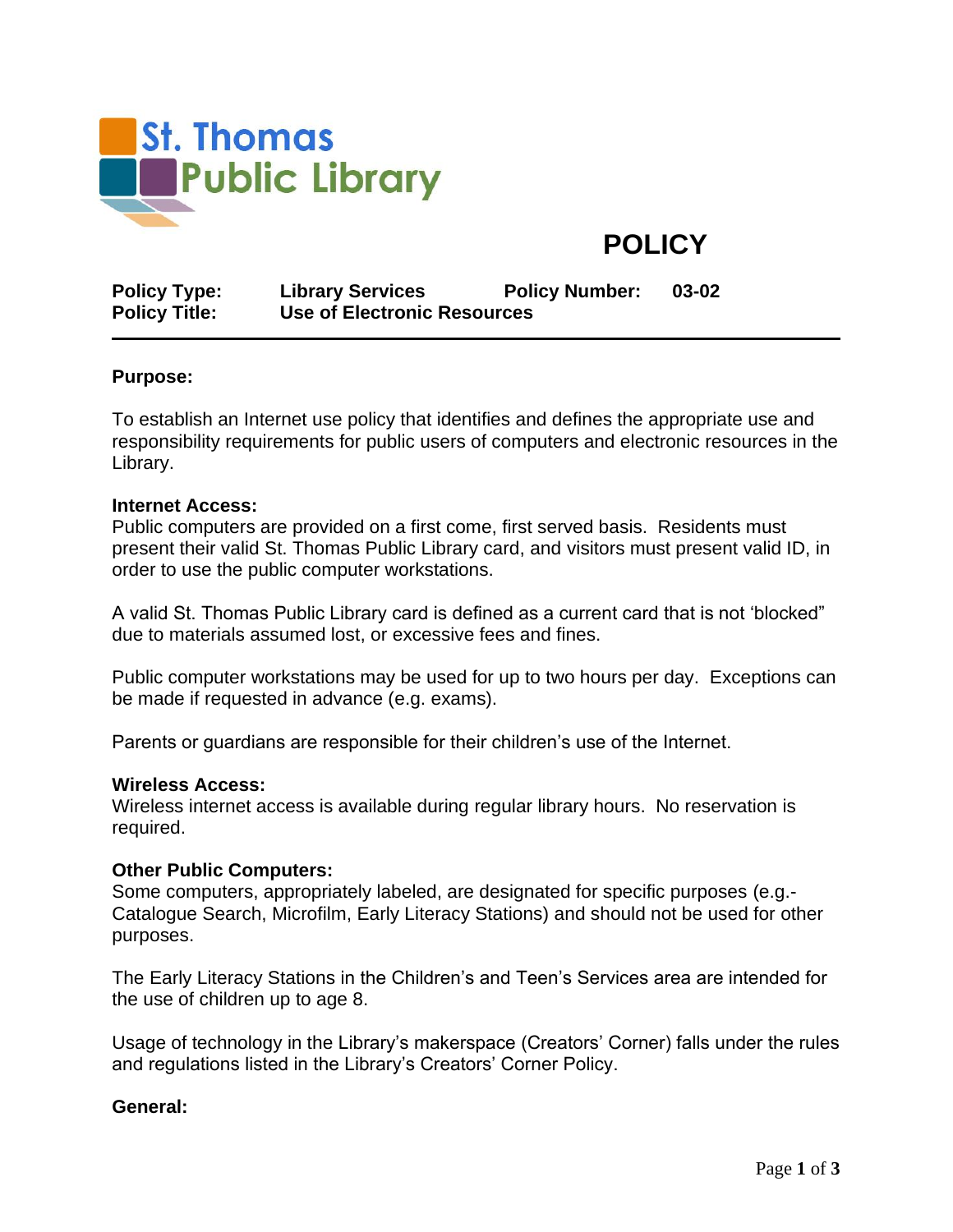

# **POLICY**

| <b>Policy Type:</b>  | <b>Library Services</b>     | <b>Policy Number:</b> | 03-02 |
|----------------------|-----------------------------|-----------------------|-------|
| <b>Policy Title:</b> | Use of Electronic Resources |                       |       |

### **Purpose:**

To establish an Internet use policy that identifies and defines the appropriate use and responsibility requirements for public users of computers and electronic resources in the Library.

#### **Internet Access:**

Public computers are provided on a first come, first served basis. Residents must present their valid St. Thomas Public Library card, and visitors must present valid ID, in order to use the public computer workstations.

A valid St. Thomas Public Library card is defined as a current card that is not 'blocked" due to materials assumed lost, or excessive fees and fines.

Public computer workstations may be used for up to two hours per day. Exceptions can be made if requested in advance (e.g. exams).

Parents or guardians are responsible for their children's use of the Internet.

#### **Wireless Access:**

Wireless internet access is available during regular library hours. No reservation is required.

#### **Other Public Computers:**

Some computers, appropriately labeled, are designated for specific purposes (e.g.- Catalogue Search, Microfilm, Early Literacy Stations) and should not be used for other purposes.

The Early Literacy Stations in the Children's and Teen's Services area are intended for the use of children up to age 8.

Usage of technology in the Library's makerspace (Creators' Corner) falls under the rules and regulations listed in the Library's Creators' Corner Policy.

#### **General:**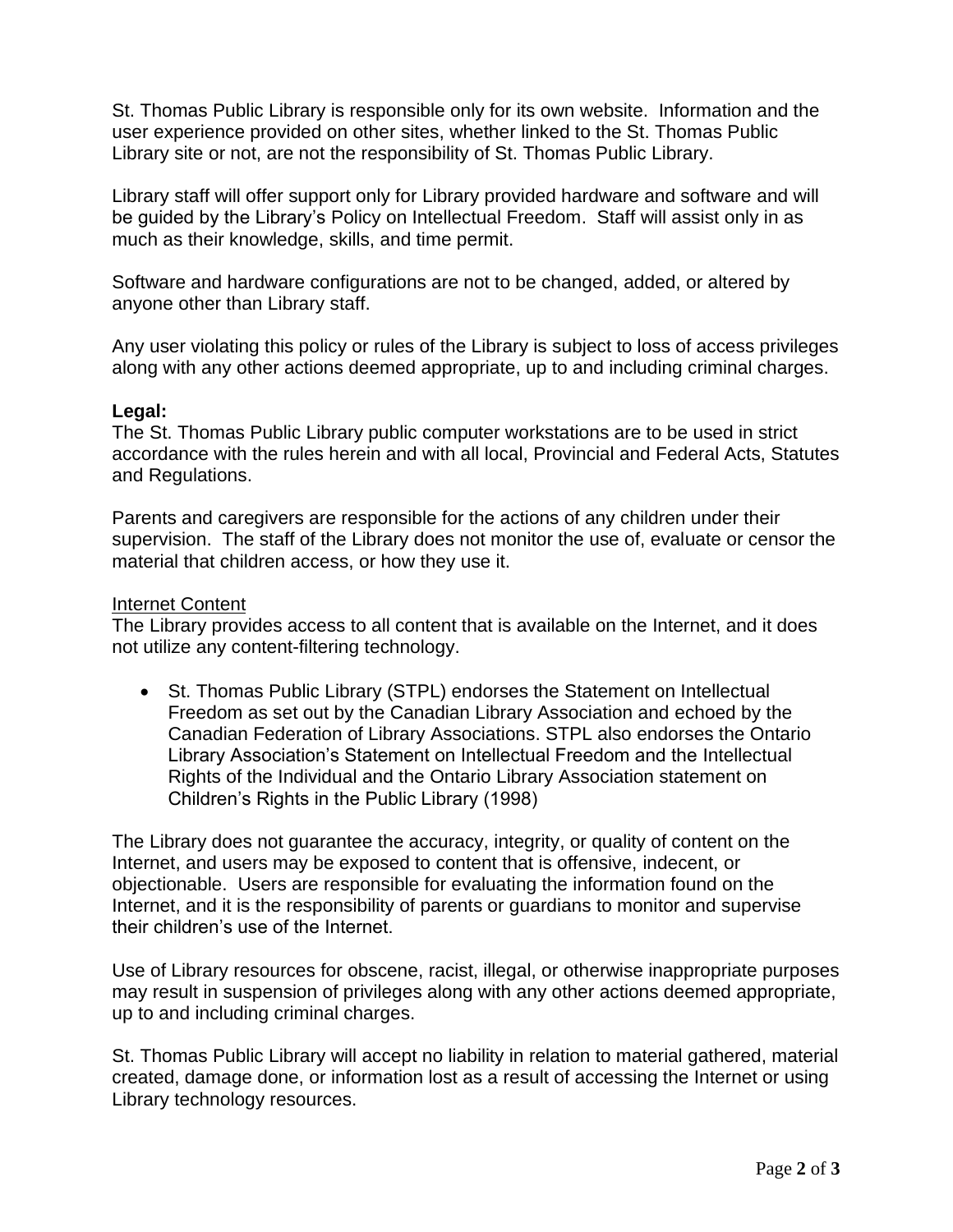St. Thomas Public Library is responsible only for its own website. Information and the user experience provided on other sites, whether linked to the St. Thomas Public Library site or not, are not the responsibility of St. Thomas Public Library.

Library staff will offer support only for Library provided hardware and software and will be guided by the Library's Policy on Intellectual Freedom. Staff will assist only in as much as their knowledge, skills, and time permit.

Software and hardware configurations are not to be changed, added, or altered by anyone other than Library staff.

Any user violating this policy or rules of the Library is subject to loss of access privileges along with any other actions deemed appropriate, up to and including criminal charges.

## **Legal:**

The St. Thomas Public Library public computer workstations are to be used in strict accordance with the rules herein and with all local, Provincial and Federal Acts, Statutes and Regulations.

Parents and caregivers are responsible for the actions of any children under their supervision. The staff of the Library does not monitor the use of, evaluate or censor the material that children access, or how they use it.

## Internet Content

The Library provides access to all content that is available on the Internet, and it does not utilize any content-filtering technology.

• St. Thomas Public Library (STPL) endorses the Statement on Intellectual Freedom as set out by the Canadian Library Association and echoed by the Canadian Federation of Library Associations. STPL also endorses the Ontario Library Association's Statement on Intellectual Freedom and the Intellectual Rights of the Individual and the Ontario Library Association statement on Children's Rights in the Public Library (1998)

The Library does not guarantee the accuracy, integrity, or quality of content on the Internet, and users may be exposed to content that is offensive, indecent, or objectionable. Users are responsible for evaluating the information found on the Internet, and it is the responsibility of parents or guardians to monitor and supervise their children's use of the Internet.

Use of Library resources for obscene, racist, illegal, or otherwise inappropriate purposes may result in suspension of privileges along with any other actions deemed appropriate, up to and including criminal charges.

St. Thomas Public Library will accept no liability in relation to material gathered, material created, damage done, or information lost as a result of accessing the Internet or using Library technology resources.